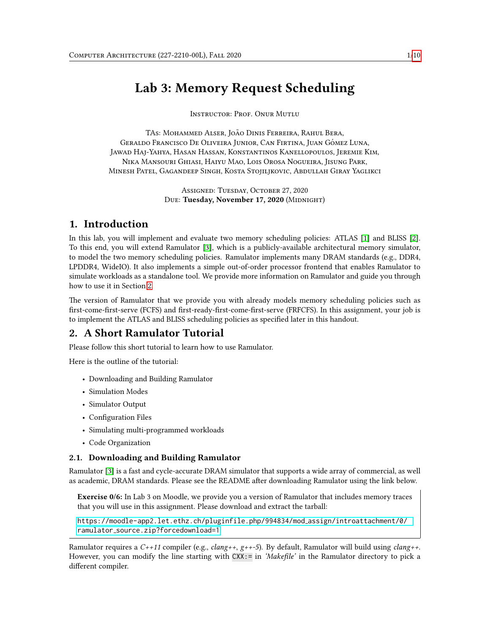# Lab 3: Memory Request Scheduling

INSTRUCTOR: PROF. ONUR MUTLU

TAS: MOHAMMED ALSER, JOÃO DINIS FERREIRA, RAHUL BERA, GERALDO FRANCISCO DE OLIVEIRA JUNIOR, CAN FIRTINA, JUAN GÓMEZ LUNA, Jawad Haj-Yahya, Hasan Hassan, Konstantinos Kanellopoulos, Jeremie Kim, Nika Mansouri Ghiasi, Haiyu Mao, Lois Orosa Nogueira, Jisung Park, Minesh Patel, Gagandeep Singh, Kosta Stojiljkovic, Abdullah Giray Yaglikci

> Assigned: Tuesday, October 27, 2020 DUE: Tuesday, November 17, 2020 (MIDNIGHT)

### 1. Introduction

In this lab, you will implement and evaluate two memory scheduling policies: ATLAS [\[1\]](#page-9-1) and BLISS [\[2\]](#page-9-2). To this end, you will extend Ramulator [\[3\]](#page-9-3), which is a publicly-available architectural memory simulator, to model the two memory scheduling policies. Ramulator implements many DRAM standards (e.g., DDR4, LPDDR4, WideIO). It also implements a simple out-of-order processor frontend that enables Ramulator to simulate workloads as a standalone tool. We provide more information on Ramulator and guide you through how to use it in Section [2.](#page-0-0)

e version of Ramulator that we provide you with already models memory scheduling policies such as first-come-first-serve (FCFS) and first-ready-first-come-first-serve (FRFCFS). In this assignment, your job is to implement the ATLAS and BLISS scheduling policies as specified later in this handout.

### <span id="page-0-0"></span>2. A Short Ramulator Tutorial

Please follow this short tutorial to learn how to use Ramulator.

Here is the outline of the tutorial:

- Downloading and Building Ramulator
- Simulation Modes
- Simulator Output
- Configuration Files
- Simulating multi-programmed workloads
- Code Organization

#### <span id="page-0-1"></span>2.1. Downloading and Building Ramulator

Ramulator [\[3\]](#page-9-3) is a fast and cycle-accurate DRAM simulator that supports a wide array of commercial, as well as academic, DRAM standards. Please see the README after downloading Ramulator using the link below.

Exercise 0/6: In Lab 3 on Moodle, we provide you a version of Ramulator that includes memory traces that you will use in this assignment. Please download and extract the tarball:

[https://moodle-app2.let.ethz.ch/pluginfile.php/994834/mod](https://moodle-app2.let.ethz.ch/pluginfile.php/994834/mod_assign/introattachment/0/ramulator_source.zip?forcedownload=1) assign/introattachment/0/ ramulator [source.zip?forcedownload=1](https://moodle-app2.let.ethz.ch/pluginfile.php/994834/mod_assign/introattachment/0/ramulator_source.zip?forcedownload=1)

Ramulator requires a  $C+11$  compiler (e.g., clang++, g++-5). By default, Ramulator will build using clang++. However, you can modify the line starting with  $CXX$ : = in 'Makefile' in the Ramulator directory to pick a different compiler.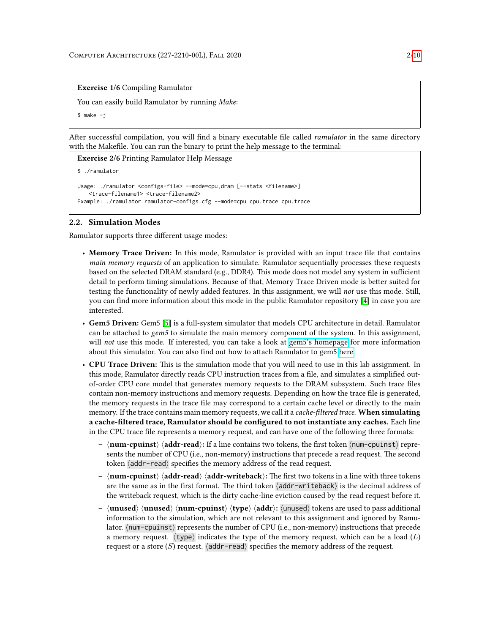```
Exercise 1/6 Compiling Ramulator
```
You can easily build Ramulator by running Make:

\$ make -j

After successful compilation, you will find a binary executable file called *ramulator* in the same directory with the Makefile. You can run the binary to print the help message to the terminal:

Exercise 2/6 Printing Ramulator Help Message

```
$ ./ramulator
Usage: ./ramulator <configs-file> --mode=cpu,dram [--stats <filename>]
   <trace-filename1> <trace-filename2>
Example: ./ramulator ramulator-configs.cfg --mode=cpu cpu.trace cpu.trace
```
#### 2.2. Simulation Modes

Ramulator supports three different usage modes:

- Memory Trace Driven: In this mode, Ramulator is provided with an input trace file that contains main memory requests of an application to simulate. Ramulator sequentially processes these requests based on the selected DRAM standard (e.g., DDR4). This mode does not model any system in sufficient detail to perform timing simulations. Because of that, Memory Trace Driven mode is better suited for testing the functionality of newly added features. In this assignment, we will not use this mode. Still, you can find more information about this mode in the public Ramulator repository  $[4]$  in case you are interested.
- Gem5 Driven: Gem5 [\[5\]](#page-9-5) is a full-system simulator that models CPU architecture in detail. Ramulator can be attached to gem5 to simulate the main memory component of the system. In this assignment, will not use this mode. If interested, you can take a look at [gem5's homepage](http://gem5.org) for more information about this simulator. You can also find out how to attach Ramulator to gem5 [here.](https://github.com/CMU-SAFARI/ramulator)
- CPU Trace Driven: This is the simulation mode that you will need to use in this lab assignment. In this mode, Ramulator directly reads CPU instruction traces from a file, and simulates a simplified outof-order CPU core model that generates memory requests to the DRAM subsystem. Such trace files contain non-memory instructions and memory requests. Depending on how the trace file is generated, the memory requests in the trace file may correspond to a certain cache level or directly to the main memory. If the trace contains main memory requests, we call it a *cache-filtered trace*. When simulating a cache-filtered trace, Ramulator should be configured to not instantiate any caches. Each line in the CPU trace file represents a memory request, and can have one of the following three formats:
	- $\langle$  num-cpuinst $\rangle$   $\langle$  addr-read $\rangle$ : If a line contains two tokens, the first token  $\langle$  num-cpuinst $\rangle$  represents the number of CPU (i.e., non-memory) instructions that precede a read request. The second token (addr-read) specifies the memory address of the read request.
	- $\langle$  num-cpuinst $\rangle$   $\langle$  addr-read $\rangle$   $\langle$  addr-writeback $\rangle$ : The first two tokens in a line with three tokens are the same as in the first format. The third token  $\langle$  addr-writeback $\rangle$  is the decimal address of the writeback request, which is the dirty cache-line eviction caused by the read request before it.
	- $\langle$  **unused**)  $\langle$  **unused**)  $\langle$  **hum-cpuinst**)  $\langle$  **type** $\rangle$   $\langle$  **addr**):  $\langle$  **unused** $\rangle$  tokens are used to pass additional information to the simulation, which are not relevant to this assignment and ignored by Ramulator.  $\langle$  num-cpuinst $\rangle$  represents the number of CPU (i.e., non-memory) instructions that precede a memory request.  $\langle type \rangle$  indicates the type of the memory request, which can be a load (L) request or a store (S) request.  $\langle \text{addr-read} \rangle$  specifies the memory address of the request.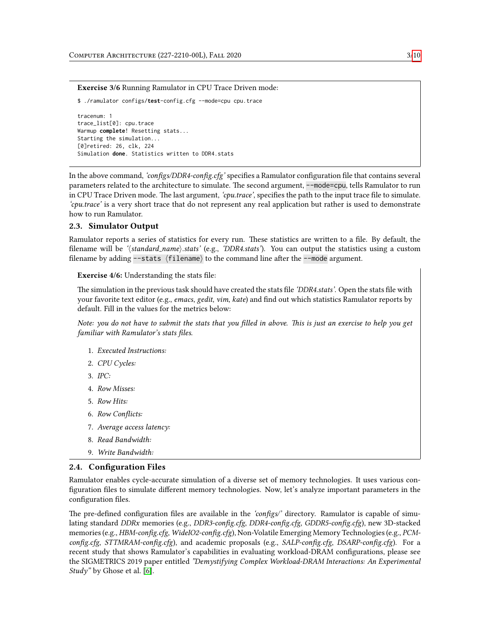Exercise 3/6 Running Ramulator in CPU Trace Driven mode:

\$ ./ramulator configs/**test**-config.cfg --mode=cpu cpu.trace tracenum: 1 trace\_list[0]: cpu.trace Warmup **complete**! Resetting stats... Starting the simulation... [0]retired: 26, clk, 224 Simulation **done**. Statistics written to DDR4.stats

In the above command, 'configs/DDR4-config.cfg' specifies a Ramulator configuration file that contains several parameters related to the architecture to simulate. The second argument, --mode=cpu, tells Ramulator to run in CPU Trace Driven mode. The last argument, 'cpu.trace', specifies the path to the input trace file to simulate. 'cpu.trace' is a very short trace that do not represent any real application but rather is used to demonstrate how to run Ramulator.

#### 2.3. Simulator Output

Ramulator reports a series of statistics for every run. These statistics are written to a file. By default, the filename will be ' $\langle standard_name \rangle$ .stats' (e.g., 'DDR4.stats'). You can output the statistics using a custom filename by adding  $--stats$  (filename) to the command line after the  $--mode$  argument.

**Exercise 4/6:** Understanding the stats file:

The simulation in the previous task should have created the stats file 'DDR4.stats'. Open the stats file with your favorite text editor (e.g., emacs, gedit, vim, kate) and find out which statistics Ramulator reports by default. Fill in the values for the metrics below:

Note: you do not have to submit the stats that you filled in above. This is just an exercise to help you get familiar with Ramulator's stats files.

- 1. Executed Instructions:
- 2. CPU Cycles:
- 3. IPC:
- 4. Row Misses:
- 5. Row Hits:
- 6. Row Conflicts:
- 7. Average access latency:
- 8. Read Bandwidth:
- 9. Write Bandwidth:

#### 2.4. Configuration Files

Ramulator enables cycle-accurate simulation of a diverse set of memory technologies. It uses various con figuration files to simulate different memory technologies. Now, let's analyze important parameters in the configuration files.

The pre-defined configuration files are available in the 'configs/' directory. Ramulator is capable of simulating standard DDRx memories (e.g., DDR3-config.cfg, DDR4-config.cfg, GDDR5-config.cfg), new 3D-stacked memories (e.g., HBM-config.cfg, WideIO2-config.cfg), Non-Volatile Emerging Memory Technologies (e.g., PCMconfig.cfg, STTMRAM-config.cfg), and academic proposals (e.g., SALP-config.cfg, DSARP-config.cfg). For a recent study that shows Ramulator's capabilities in evaluating workload-DRAM congurations, please see the SIGMETRICS 2019 paper entitled "Demystifying Complex Workload-DRAM Interactions: An Experimental Study" by Ghose et al. [\[6\]](#page-9-6).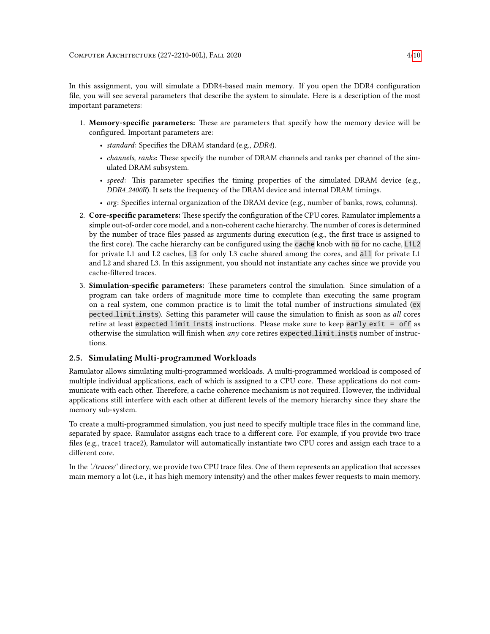In this assignment, you will simulate a DDR4-based main memory. If you open the DDR4 configuration file, you will see several parameters that describe the system to simulate. Here is a description of the most important parameters:

- 1. Memory-specific parameters: These are parameters that specify how the memory device will be configured. Important parameters are:
	- standard: Specifies the DRAM standard (e.g., DDR4).
	- channels, ranks: These specify the number of DRAM channels and ranks per channel of the simulated DRAM subsystem.
	- speed: This parameter specifies the timing properties of the simulated DRAM device (e.g., DDR4 2400R). It sets the frequency of the DRAM device and internal DRAM timings.
	- org: Specifies internal organization of the DRAM device (e.g., number of banks, rows, columns).
- 2. Core-specific parameters: These specify the configuration of the CPU cores. Ramulator implements a simple out-of-order core model, and a non-coherent cache hierarchy. The number of cores is determined by the number of trace files passed as arguments during execution (e.g., the first trace is assigned to the first core). The cache hierarchy can be configured using the cache knob with no for no cache, L1L2 for private L1 and L2 caches, L3 for only L3 cache shared among the cores, and all for private L1 and L2 and shared L3. In this assignment, you should not instantiate any caches since we provide you cache-filtered traces.
- 3. Simulation-specific parameters: These parameters control the simulation. Since simulation of a program can take orders of magnitude more time to complete than executing the same program on a real system, one common practice is to limit the total number of instructions simulated (ex pected limit insts). Setting this parameter will cause the simulation to finish as soon as all cores retire at least expected limit insts instructions. Please make sure to keep early exit = off as otherwise the simulation will finish when  $any$  core retires expected limit insts number of instructions.

#### 2.5. Simulating Multi-programmed Workloads

Ramulator allows simulating multi-programmed workloads. A multi-programmed workload is composed of multiple individual applications, each of which is assigned to a CPU core. These applications do not communicate with each other. Therefore, a cache coherence mechanism is not required. However, the individual applications still interfere with each other at different levels of the memory hierarchy since they share the memory sub-system.

To create a multi-programmed simulation, you just need to specify multiple trace files in the command line, separated by space. Ramulator assigns each trace to a different core. For example, if you provide two trace files (e.g., trace1 trace2), Ramulator will automatically instantiate two CPU cores and assign each trace to a different core.

In the './traces/' directory, we provide two CPU trace files. One of them represents an application that accesses main memory a lot (i.e., it has high memory intensity) and the other makes fewer requests to main memory.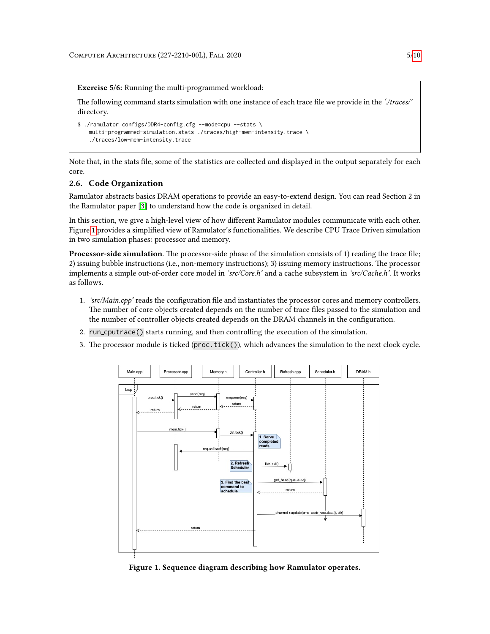Exercise 5/6: Running the multi-programmed workload:

The following command starts simulation with one instance of each trace file we provide in the './traces/' directory.

```
$ ./ramulator configs/DDR4-config.cfg --mode=cpu --stats \
   multi-programmed-simulation.stats ./traces/high-mem-intensity.trace \
    ./traces/low-mem-intensity.trace
```
Note that, in the stats file, some of the statistics are collected and displayed in the output separately for each core.

#### 2.6. Code Organization

Ramulator abstracts basics DRAM operations to provide an easy-to-extend design. You can read Section 2 in the Ramulator paper [\[3\]](#page-9-3) to understand how the code is organized in detail.

In this section, we give a high-level view of how different Ramulator modules communicate with each other. Figure [1](#page-4-0) provides a simplied view of Ramulator's functionalities. We describe CPU Trace Driven simulation in two simulation phases: processor and memory.

**Processor-side simulation**. The processor-side phase of the simulation consists of 1) reading the trace file; 2) issuing bubble instructions (i.e., non-memory instructions); 3) issuing memory instructions. The processor implements a simple out-of-order core model in 'src/Core.h' and a cache subsystem in 'src/Cache.h'. It works as follows.

- 1. 'src/Main.cpp' reads the configuration file and instantiates the processor cores and memory controllers. The number of core objects created depends on the number of trace files passed to the simulation and the number of controller objects created depends on the DRAM channels in the configuration.
- 2. run cputrace() starts running, and then controlling the execution of the simulation.
- <span id="page-4-0"></span>3. The processor module is ticked ( $proc.title()$ ), which advances the simulation to the next clock cycle.



Figure 1. Sequence diagram describing how Ramulator operates.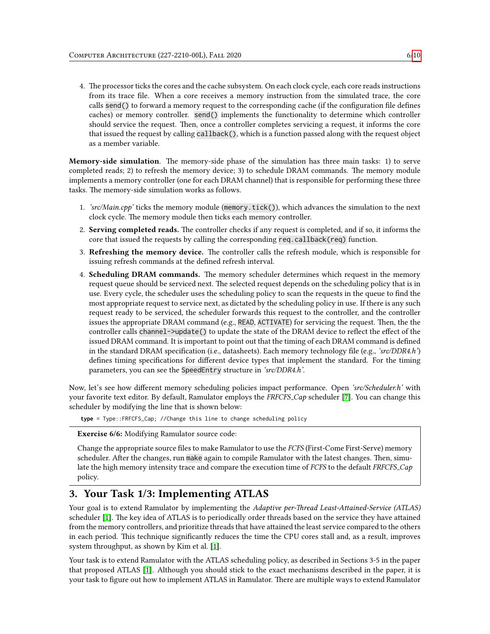4. The processor ticks the cores and the cache subsystem. On each clock cycle, each core reads instructions from its trace file. When a core receives a memory instruction from the simulated trace, the core calls send() to forward a memory request to the corresponding cache (if the configuration file defines caches) or memory controller. send() implements the functionality to determine which controller should service the request. Then, once a controller completes servicing a request, it informs the core that issued the request by calling callback(), which is a function passed along with the request object as a member variable.

Memory-side simulation. The memory-side phase of the simulation has three main tasks: 1) to serve completed reads; 2) to refresh the memory device; 3) to schedule DRAM commands. The memory module implements a memory controller (one for each DRAM channel) that is responsible for performing these three tasks. The memory-side simulation works as follows.

- 1. 'src/Main.cpp' ticks the memory module (memory.tick()), which advances the simulation to the next clock cycle. The memory module then ticks each memory controller.
- 2. Serving completed reads. The controller checks if any request is completed, and if so, it informs the core that issued the requests by calling the corresponding req.callback(req) function.
- 3. Refreshing the memory device. The controller calls the refresh module, which is responsible for issuing refresh commands at the defined refresh interval.
- 4. Scheduling DRAM commands. The memory scheduler determines which request in the memory request queue should be serviced next. The selected request depends on the scheduling policy that is in use. Every cycle, the scheduler uses the scheduling policy to scan the requests in the queue to find the most appropriate request to service next, as dictated by the scheduling policy in use. If there is any such request ready to be serviced, the scheduler forwards this request to the controller, and the controller issues the appropriate DRAM command (e.g., READ, ACTIVATE) for servicing the request. Then, the the controller calls channel- $\geq$ update $()$  to update the state of the DRAM device to reflect the effect of the issued DRAM command. It is important to point out that the timing of each DRAM command is defined in the standard DRAM specification (i.e., datasheets). Each memory technology file (e.g., 'src/DDR4.h') defines timing specifications for different device types that implement the standard. For the timing parameters, you can see the SpeedEntry structure in 'src/DDR4.h'.

Now, let's see how different memory scheduling policies impact performance. Open 'src/Scheduler.h' with your favorite text editor. By default, Ramulator employs the *FRFCFS\_Cap* scheduler [\[7\]](#page-9-7). You can change this scheduler by modifying the line that is shown below:

**type** = Type::FRFCFS\_Cap; //Change this line to change scheduling policy

Exercise 6/6: Modifying Ramulator source code:

Change the appropriate source files to make Ramulator to use the FCFS (First-Come First-Serve) memory scheduler. After the changes, run make again to compile Ramulator with the latest changes. Then, simulate the high memory intensity trace and compare the execution time of FCFS to the default FRFCFS\_Cap policy.

### 3. Your Task 1/3: Implementing ATLAS

Your goal is to extend Ramulator by implementing the Adaptive per-Thread Least-Attained-Service (ATLAS) scheduler [\[1\]](#page-9-1). The key idea of ATLAS is to periodically order threads based on the service they have attained from the memory controllers, and prioritize threads that have attained the least service compared to the others in each period. This technique significantly reduces the time the CPU cores stall and, as a result, improves system throughput, as shown by Kim et al. [\[1\]](#page-9-1).

Your task is to extend Ramulator with the ATLAS scheduling policy, as described in Sections 3-5 in the paper that proposed ATLAS [\[1\]](#page-9-1). Although you should stick to the exact mechanisms described in the paper, it is your task to figure out how to implement ATLAS in Ramulator. There are multiple ways to extend Ramulator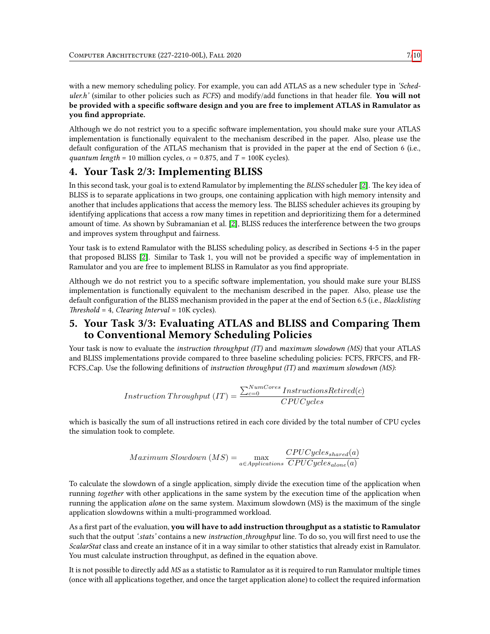with a new memory scheduling policy. For example, you can add ATLAS as a new scheduler type in *'Sched*uler.h' (similar to other policies such as  $FCFS$ ) and modify/add functions in that header file. You will not be provided with a specific software design and you are free to implement ATLAS in Ramulator as you find appropriate.

Although we do not restrict you to a specific software implementation, you should make sure your ATLAS implementation is functionally equivalent to the mechanism described in the paper. Also, please use the default configuration of the ATLAS mechanism that is provided in the paper at the end of Section 6 (i.e., quantum length = 10 million cycles,  $\alpha$  = 0.875, and T = 100K cycles).

### 4. Your Task 2/3: Implementing BLISS

In this second task, your goal is to extend Ramulator by implementing the BLISS scheduler [\[2\]](#page-9-2). The key idea of BLISS is to separate applications in two groups, one containing application with high memory intensity and another that includes applications that access the memory less. The BLISS scheduler achieves its grouping by identifying applications that access a row many times in repetition and deprioritizing them for a determined amount of time. As shown by Subramanian et al. [\[2\]](#page-9-2), BLISS reduces the interference between the two groups and improves system throughput and fairness.

Your task is to extend Ramulator with the BLISS scheduling policy, as described in Sections 4-5 in the paper that proposed BLISS [\[2\]](#page-9-2). Similar to Task 1, you will not be provided a specific way of implementation in Ramulator and you are free to implement BLISS in Ramulator as you find appropriate.

Although we do not restrict you to a specific software implementation, you should make sure your BLISS implementation is functionally equivalent to the mechanism described in the paper. Also, please use the default configuration of the BLISS mechanism provided in the paper at the end of Section 6.5 (i.e., Blacklisting  $Threshold = 4$ ,  $Clearing Interval = 10K cycles)$ .

### 5. Your Task 3/3: Evaluating ATLAS and BLISS and Comparing Them to Conventional Memory Scheduling Policies

Your task is now to evaluate the *instruction throughput (IT)* and *maximum slowdown (MS)* that your ATLAS and BLISS implementations provide compared to three baseline scheduling policies: FCFS, FRFCFS, and FR-FCFS Cap. Use the following definitions of instruction throughput  $(IT)$  and maximum slowdown  $(MS)$ :

$$
Instruction\;Throughout\;(IT) = \frac{\sum_{c=0}^{NumCores}\; InstructionsRetired(c)}{CPUCycles}
$$

which is basically the sum of all instructions retired in each core divided by the total number of CPU cycles the simulation took to complete.

$$
Maximum \; Slowdown \; (MS) = \max_{a \in Applications} \frac{CPUCycles_{shared}(a)}{CPUCycles_{alone}(a)}
$$

To calculate the slowdown of a single application, simply divide the execution time of the application when running together with other applications in the same system by the execution time of the application when running the application alone on the same system. Maximum slowdown (MS) is the maximum of the single application slowdowns within a multi-programmed workload.

As a first part of the evaluation, you will have to add instruction throughput as a statistic to Ramulator such that the output '.stats' contains a new *instruction\_throughput* line. To do so, you will first need to use the ScalarStat class and create an instance of it in a way similar to other statistics that already exist in Ramulator. You must calculate instruction throughput, as defined in the equation above.

It is not possible to directly add MS as a statistic to Ramulator as it is required to run Ramulator multiple times (once with all applications together, and once the target application alone) to collect the required information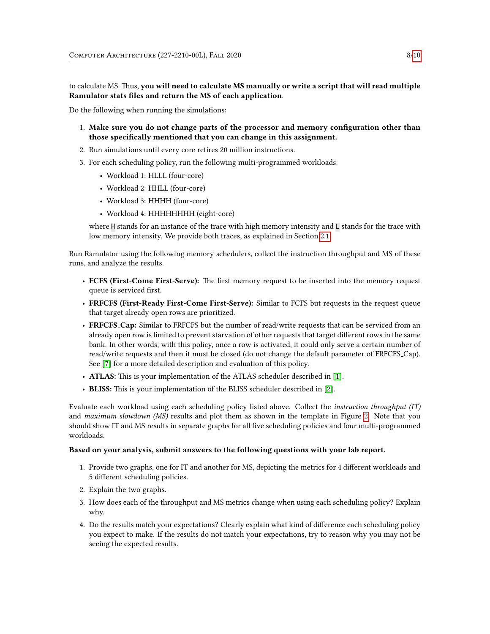to calculate MS. Thus, you will need to calculate MS manually or write a script that will read multiple Ramulator stats files and return the MS of each application.

Do the following when running the simulations:

- 1. Make sure you do not change parts of the processor and memory configuration other than those specifically mentioned that you can change in this assignment.
- 2. Run simulations until every core retires 20 million instructions.
- 3. For each scheduling policy, run the following multi-programmed workloads:
	- Workload 1: HLLL (four-core)
	- Workload 2: HHLL (four-core)
	- Workload 3: HHHH (four-core)
	- Workload 4: HHHHHHHH (eight-core)

where H stands for an instance of the trace with high memory intensity and  $\mathsf L$  stands for the trace with low memory intensity. We provide both traces, as explained in Section [2.1.](#page-0-1)

Run Ramulator using the following memory schedulers, collect the instruction throughput and MS of these runs, and analyze the results.

- FCFS (First-Come First-Serve): The first memory request to be inserted into the memory request queue is serviced first.
- FRFCFS (First-Ready First-Come First-Serve): Similar to FCFS but requests in the request queue that target already open rows are prioritized.
- FRFCFS Cap: Similar to FRFCFS but the number of read/write requests that can be serviced from an already open row is limited to prevent starvation of other requests that target different rows in the same bank. In other words, with this policy, once a row is activated, it could only serve a certain number of read/write requests and then it must be closed (do not change the default parameter of FRFCFS Cap). See [\[7\]](#page-9-7) for a more detailed description and evaluation of this policy.
- ATLAS: This is your implementation of the ATLAS scheduler described in [\[1\]](#page-9-1).
- BLISS: This is your implementation of the BLISS scheduler described in [\[2\]](#page-9-2).

Evaluate each workload using each scheduling policy listed above. Collect the instruction throughput (IT) and *maximum slowdown* (*MS*) results and plot them as shown in the template in Figure [2.](#page-8-0) Note that you should show IT and MS results in separate graphs for all five scheduling policies and four multi-programmed workloads.

#### Based on your analysis, submit answers to the following questions with your lab report.

- 1. Provide two graphs, one for IT and another for MS, depicting the metrics for 4 different workloads and 5 different scheduling policies.
- 2. Explain the two graphs.
- 3. How does each of the throughput and MS metrics change when using each scheduling policy? Explain why.
- 4. Do the results match your expectations? Clearly explain what kind of difference each scheduling policy you expect to make. If the results do not match your expectations, try to reason why you may not be seeing the expected results.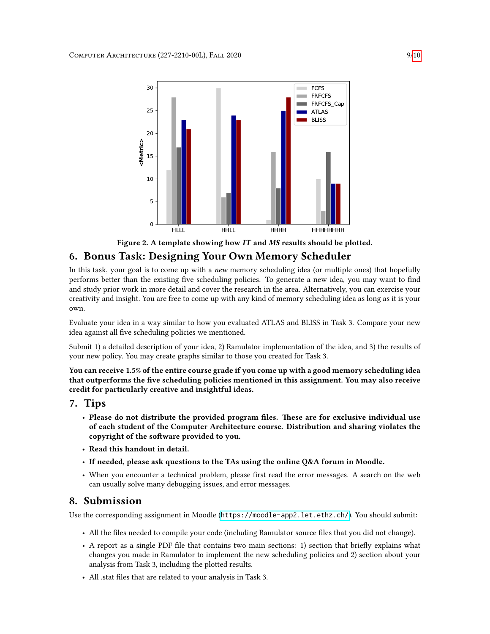<span id="page-8-0"></span>

Figure 2. A template showing how IT and MS results should be plotted.

# 6. Bonus Task: Designing Your Own Memory Scheduler

In this task, your goal is to come up with a *new* memory scheduling idea (or multiple ones) that hopefully performs better than the existing five scheduling policies. To generate a new idea, you may want to find and study prior work in more detail and cover the research in the area. Alternatively, you can exercise your creativity and insight. You are free to come up with any kind of memory scheduling idea as long as it is your own.

Evaluate your idea in a way similar to how you evaluated ATLAS and BLISS in Task 3. Compare your new idea against all five scheduling policies we mentioned.

Submit 1) a detailed description of your idea, 2) Ramulator implementation of the idea, and 3) the results of your new policy. You may create graphs similar to those you created for Task 3.

You can receive 1.5% of the entire course grade if you come up with a good memory scheduling idea that outperforms the five scheduling policies mentioned in this assignment. You may also receive credit for particularly creative and insightful ideas.

### 7. Tips

- Please do not distribute the provided program files. These are for exclusive individual use of each student of the Computer Architecture course. Distribution and sharing violates the copyright of the software provided to you.
- Read this handout in detail.
- If needed, please ask questions to the TAs using the online Q&A forum in Moodle.
- When you encounter a technical problem, please first read the error messages. A search on the web can usually solve many debugging issues, and error messages.

# 8. Submission

Use the corresponding assignment in Moodle (<https://moodle-app2.let.ethz.ch/>). You should submit:

- All the files needed to compile your code (including Ramulator source files that you did not change).
- A report as a single PDF file that contains two main sections: 1) section that briefly explains what changes you made in Ramulator to implement the new scheduling policies and 2) section about your analysis from Task 3, including the plotted results.
- All .stat files that are related to your analysis in Task 3.